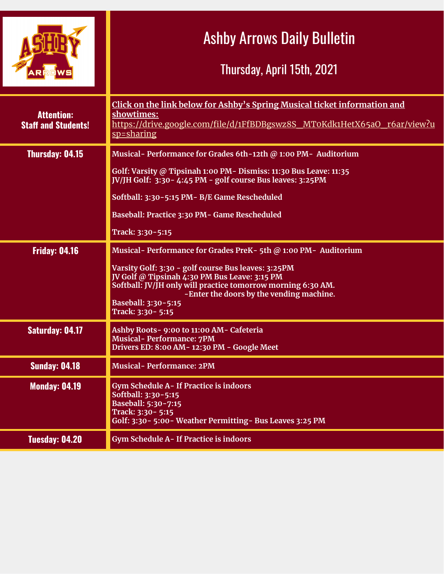|                                                 | <b>Ashby Arrows Daily Bulletin</b><br>Thursday, April 15th, 2021                                                                                                                                                                                                                                                                       |
|-------------------------------------------------|----------------------------------------------------------------------------------------------------------------------------------------------------------------------------------------------------------------------------------------------------------------------------------------------------------------------------------------|
| <b>Attention:</b><br><b>Staff and Students!</b> | Click on the link below for Ashby's Spring Musical ticket information and<br>showtimes:<br>https://drive.google.com/file/d/1FfBDBgswz8S MT0Kdk1HetX65aO r6ar/view?u<br>sp=sharing                                                                                                                                                      |
| <b>Thursday: 04.15</b>                          | Musical-Performance for Grades 6th-12th @ 1:00 PM- Auditorium<br>Golf: Varsity @ Tipsinah 1:00 PM - Dismiss: 11:30 Bus Leave: 11:35<br>JV/JH Golf: 3:30 - 4:45 PM - golf course Bus leaves: 3:25 PM<br>Softball: 3:30-5:15 PM- B/E Game Rescheduled<br>Baseball: Practice 3:30 PM - Game Rescheduled                                   |
|                                                 | Track: 3:30-5:15                                                                                                                                                                                                                                                                                                                       |
| <b>Friday: 04.16</b>                            | Musical- Performance for Grades PreK-5th @ 1:00 PM- Auditorium<br>Varsity Golf: 3:30 - golf course Bus leaves: 3:25PM<br>JV Golf @ Tipsinah 4:30 PM Bus Leave: 3:15 PM<br>Softball: JV/JH only will practice tomorrow morning 6:30 AM.<br>-Enter the doors by the vending machine.<br><b>Baseball: 3:30-5:15</b><br>Track: 3:30 - 5:15 |
| <b>Saturday: 04.17</b>                          | Ashby Roots- 9:00 to 11:00 AM- Cafeteria<br><b>Musical-Performance: 7PM</b><br>Drivers ED: 8:00 AM-12:30 PM - Google Meet                                                                                                                                                                                                              |
| <b>Sunday: 04.18</b>                            | Musical-Performance: 2PM                                                                                                                                                                                                                                                                                                               |
| <b>Monday: 04.19</b>                            | Gym Schedule A- If Practice is indoors<br>Softball: 3:30-5:15<br>Baseball: 5:30-7:15<br>Track: 3:30 - 5:15<br>Golf: 3:30 - 5:00 - Weather Permitting - Bus Leaves 3:25 PM                                                                                                                                                              |
| <b>Tuesday: 04.20</b>                           | Gym Schedule A- If Practice is indoors                                                                                                                                                                                                                                                                                                 |